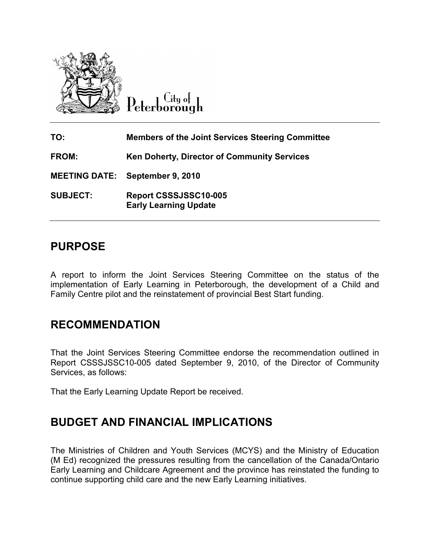

Lity of Peterborough

TO: Members of the Joint Services Steering Committee FROM: Ken Doherty, Director of Community Services MEETING DATE: September 9, 2010 SUBJECT: Report CSSSJSSC10-005 Early Learning Update

# PURPOSE

A report to inform the Joint Services Steering Committee on the status of the implementation of Early Learning in Peterborough, the development of a Child and Family Centre pilot and the reinstatement of provincial Best Start funding.

# RECOMMENDATION

That the Joint Services Steering Committee endorse the recommendation outlined in Report CSSSJSSC10-005 dated September 9, 2010, of the Director of Community Services, as follows:

That the Early Learning Update Report be received.

# BUDGET AND FINANCIAL IMPLICATIONS

The Ministries of Children and Youth Services (MCYS) and the Ministry of Education (M Ed) recognized the pressures resulting from the cancellation of the Canada/Ontario Early Learning and Childcare Agreement and the province has reinstated the funding to continue supporting child care and the new Early Learning initiatives.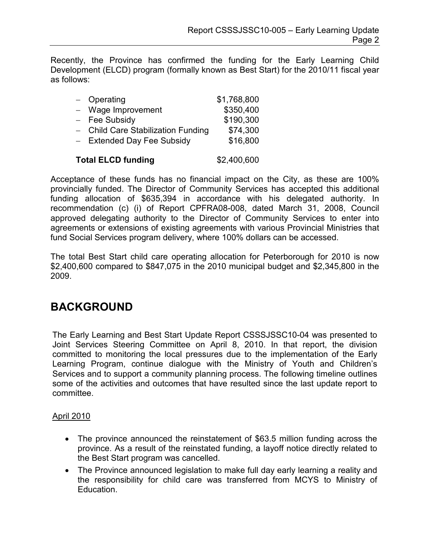Recently, the Province has confirmed the funding for the Early Learning Child Development (ELCD) program (formally known as Best Start) for the 2010/11 fiscal year as follows:

| $-$ Operating                      | \$1,768,800 |
|------------------------------------|-------------|
| - Wage Improvement                 | \$350,400   |
| $-$ Fee Subsidy                    | \$190,300   |
| - Child Care Stabilization Funding | \$74,300    |
| - Extended Day Fee Subsidy         | \$16,800    |
|                                    |             |

### Total ELCD funding \$2,400,600

Acceptance of these funds has no financial impact on the City, as these are 100% provincially funded. The Director of Community Services has accepted this additional funding allocation of \$635,394 in accordance with his delegated authority. In recommendation (c) (i) of Report CPFRA08-008, dated March 31, 2008, Council approved delegating authority to the Director of Community Services to enter into agreements or extensions of existing agreements with various Provincial Ministries that fund Social Services program delivery, where 100% dollars can be accessed.

The total Best Start child care operating allocation for Peterborough for 2010 is now \$2,400,600 compared to \$847,075 in the 2010 municipal budget and \$2,345,800 in the 2009.

## BACKGROUND

The Early Learning and Best Start Update Report CSSSJSSC10-04 was presented to Joint Services Steering Committee on April 8, 2010. In that report, the division committed to monitoring the local pressures due to the implementation of the Early Learning Program, continue dialogue with the Ministry of Youth and Children's Services and to support a community planning process. The following timeline outlines some of the activities and outcomes that have resulted since the last update report to committee.

### April 2010

- The province announced the reinstatement of \$63.5 million funding across the province. As a result of the reinstated funding, a layoff notice directly related to the Best Start program was cancelled.
- The Province announced legislation to make full day early learning a reality and the responsibility for child care was transferred from MCYS to Ministry of Education.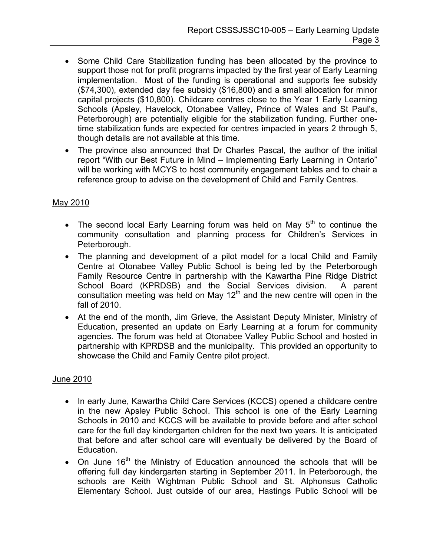- Some Child Care Stabilization funding has been allocated by the province to support those not for profit programs impacted by the first year of Early Learning implementation. Most of the funding is operational and supports fee subsidy (\$74,300), extended day fee subsidy (\$16,800) and a small allocation for minor capital projects (\$10,800). Childcare centres close to the Year 1 Early Learning Schools (Apsley, Havelock, Otonabee Valley, Prince of Wales and St Paul's, Peterborough) are potentially eligible for the stabilization funding. Further onetime stabilization funds are expected for centres impacted in years 2 through 5, though details are not available at this time.
- The province also announced that Dr Charles Pascal, the author of the initial report "With our Best Future in Mind – Implementing Early Learning in Ontario" will be working with MCYS to host community engagement tables and to chair a reference group to advise on the development of Child and Family Centres.

### May 2010

- The second local Early Learning forum was held on May  $5<sup>th</sup>$  to continue the community consultation and planning process for Children's Services in Peterborough.
- The planning and development of a pilot model for a local Child and Family Centre at Otonabee Valley Public School is being led by the Peterborough Family Resource Centre in partnership with the Kawartha Pine Ridge District School Board (KPRDSB) and the Social Services division. A parent consultation meeting was held on May 12<sup>th</sup> and the new centre will open in the fall of 2010.
- At the end of the month, Jim Grieve, the Assistant Deputy Minister, Ministry of Education, presented an update on Early Learning at a forum for community agencies. The forum was held at Otonabee Valley Public School and hosted in partnership with KPRDSB and the municipality. This provided an opportunity to showcase the Child and Family Centre pilot project.

### June 2010

- In early June, Kawartha Child Care Services (KCCS) opened a childcare centre in the new Apsley Public School. This school is one of the Early Learning Schools in 2010 and KCCS will be available to provide before and after school care for the full day kindergarten children for the next two years. It is anticipated that before and after school care will eventually be delivered by the Board of Education.
- On June  $16<sup>th</sup>$  the Ministry of Education announced the schools that will be offering full day kindergarten starting in September 2011. In Peterborough, the schools are Keith Wightman Public School and St. Alphonsus Catholic Elementary School. Just outside of our area, Hastings Public School will be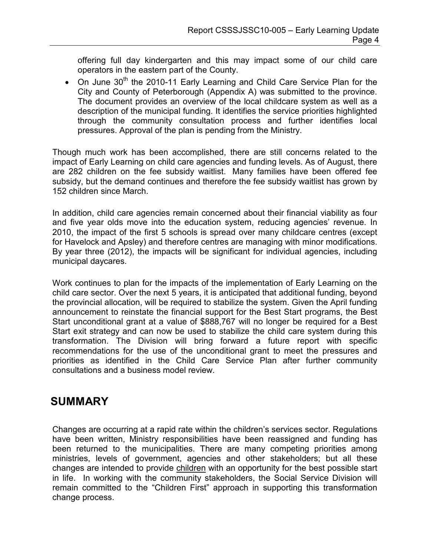offering full day kindergarten and this may impact some of our child care operators in the eastern part of the County.

• On June 30<sup>th</sup> the 2010-11 Early Learning and Child Care Service Plan for the City and County of Peterborough (Appendix A) was submitted to the province. The document provides an overview of the local childcare system as well as a description of the municipal funding. It identifies the service priorities highlighted through the community consultation process and further identifies local pressures. Approval of the plan is pending from the Ministry.

Though much work has been accomplished, there are still concerns related to the impact of Early Learning on child care agencies and funding levels. As of August, there are 282 children on the fee subsidy waitlist. Many families have been offered fee subsidy, but the demand continues and therefore the fee subsidy waitlist has grown by 152 children since March.

In addition, child care agencies remain concerned about their financial viability as four and five year olds move into the education system, reducing agencies' revenue. In 2010, the impact of the first 5 schools is spread over many childcare centres (except for Havelock and Apsley) and therefore centres are managing with minor modifications. By year three (2012), the impacts will be significant for individual agencies, including municipal daycares.

Work continues to plan for the impacts of the implementation of Early Learning on the child care sector. Over the next 5 years, it is anticipated that additional funding, beyond the provincial allocation, will be required to stabilize the system. Given the April funding announcement to reinstate the financial support for the Best Start programs, the Best Start unconditional grant at a value of \$888,767 will no longer be required for a Best Start exit strategy and can now be used to stabilize the child care system during this transformation. The Division will bring forward a future report with specific recommendations for the use of the unconditional grant to meet the pressures and priorities as identified in the Child Care Service Plan after further community consultations and a business model review.

## SUMMARY

Changes are occurring at a rapid rate within the children's services sector. Regulations have been written, Ministry responsibilities have been reassigned and funding has been returned to the municipalities. There are many competing priorities among ministries, levels of government, agencies and other stakeholders; but all these changes are intended to provide children with an opportunity for the best possible start in life. In working with the community stakeholders, the Social Service Division will remain committed to the "Children First" approach in supporting this transformation change process.